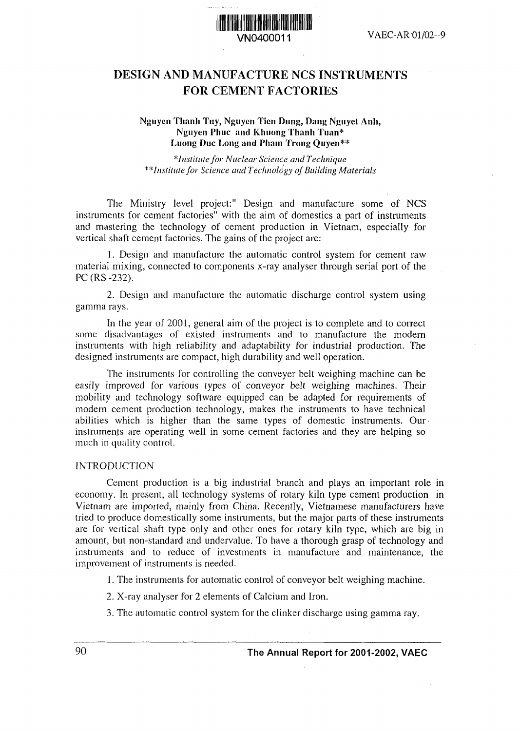

# DESIGN AND MANUFACTURE NCS INSTRUMENTS FOR CEMENT FACTORIES

#### **Nguyen Thanh** Tuy, **Nguyen** Tien **Dung,** Dang Nguyet **Anh, Nguyen Phuc and Khuong Thanh Tuan\* Luong Duc Long and Pham Trong Quyen\*\***

*\*Institutefor Nuclear Science and Technique \*;Ilistilittefor Science ad Technology of Building Materials*

The Ministry level project:" Design and manufacture some of NCS instruments for cement factories" with the aim of domestics a part of instruments and mastering the technology of cement production in Vietnam, especially for vertical shaft cement factories. The gains of the project are:

1. Design and manufacture the automatic control system for cement raw material mixing, connected to components x-ray analyser through serial port of the PC (RS-232).

2. Design and manufacture the automatic discharge control system using gamma rays.

In the year of 2001, general aim of the project is to complete and to correct some disadvantages of existed instruments and to manufacture the modern instruments with high reliability and adaptability for industrial production. The designed instruments are compact, high durability and well operation.

The instruments for controlling the conveyer belt weighing machine can be easily improved for various types of conveyor belt weighing machines. Their mobility and technology software equipped can be adapted for requirements of modern cement production technology, makes the instruments to have technical abilities which is higher than the same types of domestic instruments. Our instruments are operating well in some cement factories and they are helping so much in quality control.

#### INTRODUCTION

Cement production is a big industrial branch and plays an important role in economy. In present, all technology systems of rotary kiln type cement production in Vietnam are imported, mainly from China. Recently, Vietnamese manufacturers have tried to produce domestically some instruments, but the major parts of these instruments are for vertical shaft type only and other ones for rotary kiln type, which are big in amount, but non-standard and undervalue. To have a thorough grasp of technology and instruments and to reduce of investments in manufacture and maintenance, the improvement of instruments is needed.

- 1. The instruments for automatic control of conveyor belt weighing machine.
- 2. X-ray analyser for 2 elements of Calcium and Iron.
- 3. The automatic control system for the clinker discharge using gamma ray.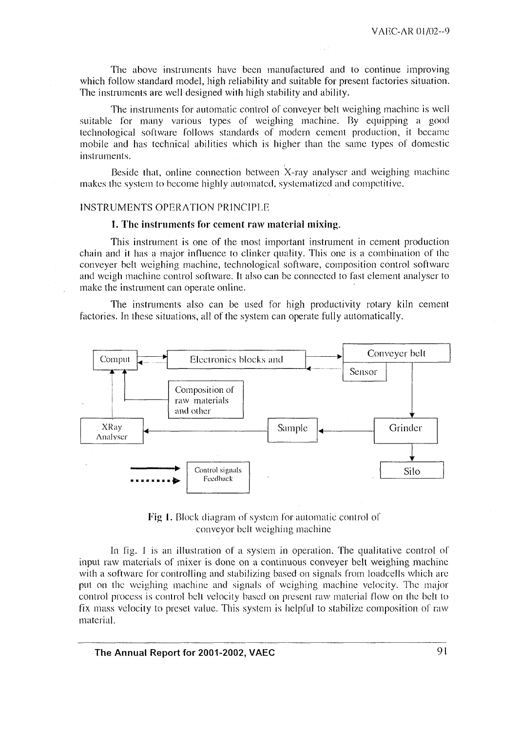The above instruments have been manufactured and to continue improving which follow standard model, high reliability and suitable for present factories situation. The instruments are well designed with high stability and ability.

The instruments for automatic control of conveyer belt weighing machine is well suitable for many various types of weighing machine. By equipping a good technological software follows standards of modern cement production, it became mobile and has technical abilities which is higher than the same types of domestic instruments.

Beside that, online connection between X-ray analyser and weighing machine makes the system to become highly automated, systematized and competitive.

#### INSTRUMENTS OPERATION PRINCIPLE

#### 1. The instruments for cement raw material mixing.

This instrument is one of the most important instrument in cement production chain and it has a major influence to clinker quality. This one is a combination of the conveyer belt weighing machine, technological software, composition control software and weigh machine control software. It also can be connected to fast element analyser to make the instrument can operate online.

The instruments also can be used for high productivity rotary kiln cement factories. In these situations, all of the system can operate fully automatically.



Fig. 1. Block diagram of system for automatic control of conveyor belt weighing machine

In fig. 1 is an illustration of a system in operation. The qualitative control of input raw materials of mixer is done on a continuous conveyer belt weighing machine with a software for controlling and stabilizing based on signals from loadcells which are put on the weighing machine and signals of weighing machine velocity. The major control process is control belt velocity based on present raw material flow on the belt to fix mass velocity to preset value. This system is helpful to stabilize composition of raw material.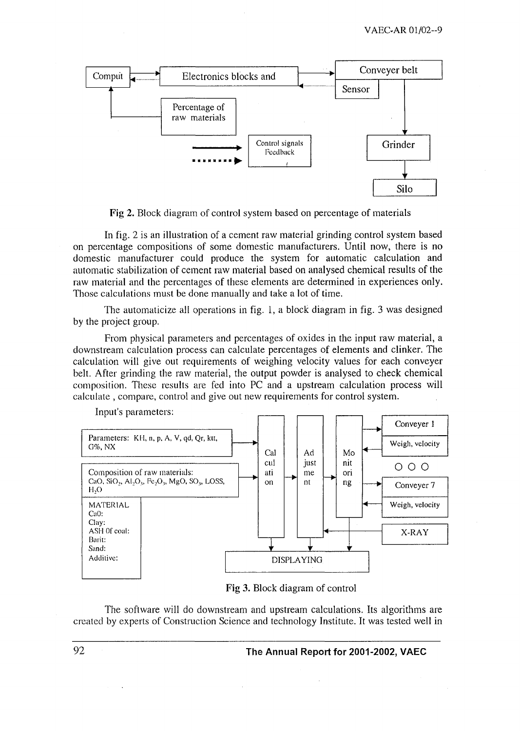

Fig 2. Block diagram of control system based on percentage of materials

In fig. 2 is an illustration of a cement raw material grinding control system based on percentage compositions of some domestic manufacturers. Until now, there is no domestic manufacturer could produce the system for automatic calculation and automatic stabilization of cement raw material based on analysed chemical results of the raw material and the percentages of these elements are determined in experiences only. Those calculations must be done manually and take a lot of time.

The automaticize all operations in fig. 1, a block diagram in fig. 3 was designed by the project group.

From physical parameters and percentages of oxides in the input raw material, a downstream calculation pocess can calculate percentages of elements and clinker. The calculation will give out equirements of weighing velocity values for each conveyer belt. After grinding the raw material, the output powder is analysed to check chemical composition. These results are fed into PC and a upstream calculation process will calculate, compare, control and give out new requirements for control system.



Input's parameters:

Fig 3. Block diagram of control

The software will do downstream and upstream calculations. Its algorithms are created by experts of Construction Science and technology Institute. It was tested well in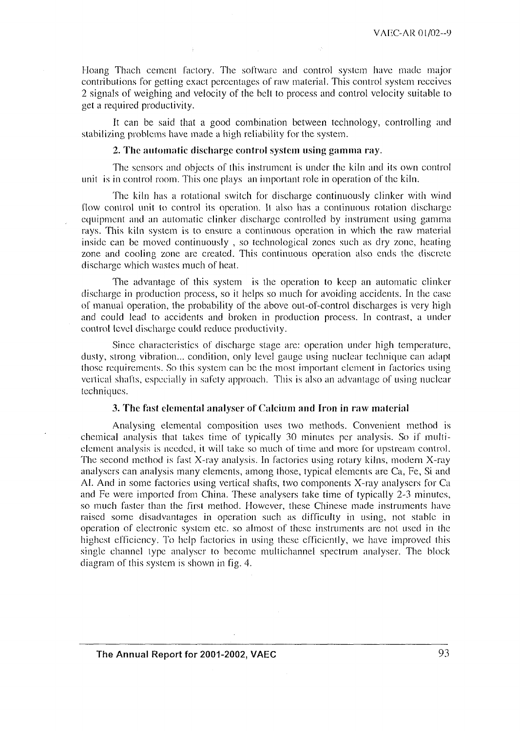Hoang Thach cement factory. The software and control system have made major contributions for getting exact percentages of raw material. This control system receives 2 signals of weighing and velocity of the belt to process and control velocity suitable to get a required productivity.

It can be said that a good combination between technology, controlling and stabilizing problems have made a high reliability for the system.

#### 2. The automatic discharge control system using gamma ray.

The sensors and objects of this instrument is under the kiln and its own control unit is in control room. This one plays an important role in operation of the kiln.

The kiln has a rotational switch for discharge continuously clinker with wind flow control unit to control its operation. It also has a continuous rotation discharge equipment and an automatic clinker discharge controlled by instrument using gamma rays. This kiln system is to ensure a continuous operation in which the raw material inside can be moved continuously, so technological zones such as dry zone, heating zone and cooling zone are created. This continuous operation also ends the discrete discharge which wastes much of heat.

The advantage of this system is the operation to keep an automatic clinker discharge in production process, so it helps so much for avoiding accidents. In the case of manual operation, the probability of the above out-of-control discharges is very high and could lead to accidents and broken in production process. In contrast, a under control level discharge could reduce productivity.

Since characteristics of discharge stage are: operation under high temperature, dusty, strong vibration... condition, only level gauge using nuclear technique can adapt those requirements. So this system can be the most important element in factories using vertical shafts, especially in safety approach. This is also an advantage of using nuclear techniques.

#### 3. The fast elemental analyser of Calcium and Iron in raw material

Analysing elemental composition uses two methods. Convenient method is chemical analysis that takes time of typically 30 minutes per analysis. So if multielement analysis is needed, it will take so much of time and more for upstream control. The second method is fast X-ray analysis. In factories using rotary kilns, modern X-ray analysers can analysis many elements, among those, typical elements are Ca, Fe, Si and Al. And in some factories using vertical shafts, two components X-ray analysers for Ca and Fe were imported from China. These analysers take time of typically 2-3 minutes, so much faster than the first method. However, these Chinese made instruments have raised some disadvantages in operation such as difficulty in using, not stable in operation of electronic system etc. so almost of these instruments are not used in the highest efficiency. To help factories in using these efficiently, we have improved this single channel type analyser to become multichannel spectrum analyser. The block diagram of this system is shown in fig. 4.